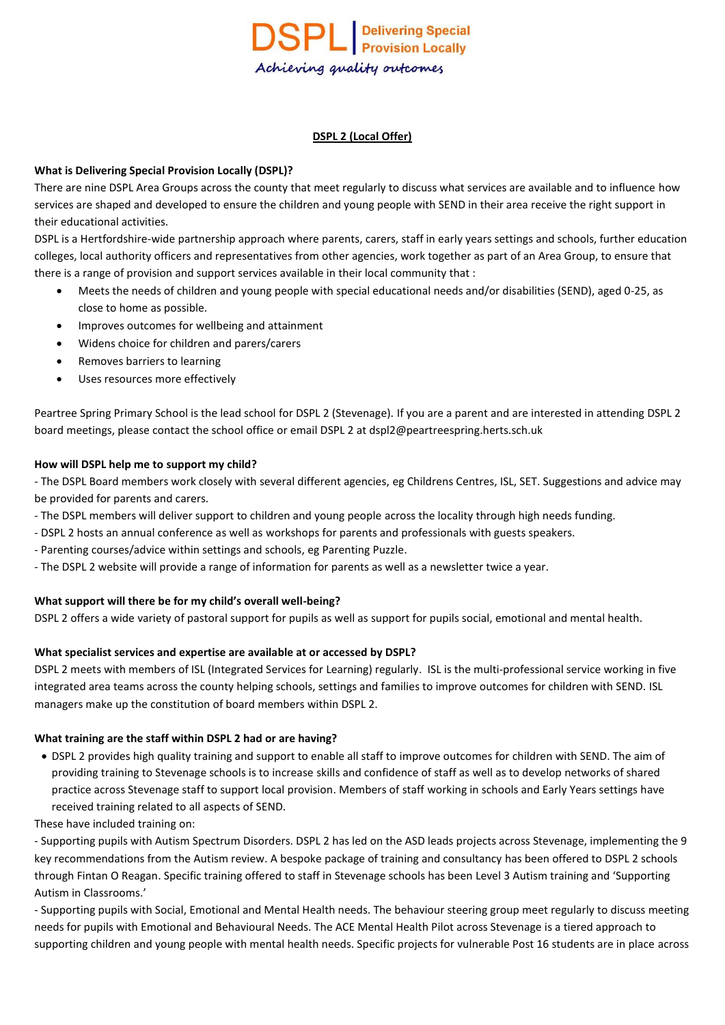

### **DSPL 2 (Local Offer)**

### **What is Delivering Special Provision Locally (DSPL)?**

There are nine DSPL Area Groups across the county that meet regularly to discuss what services are available and to influence how services are shaped and developed to ensure the children and young people with SEND in their area receive the right support in their educational activities.

DSPL is a Hertfordshire-wide partnership approach where parents, carers, staff in early years settings and schools, further education colleges, local authority officers and representatives from other agencies, work together as part of an Area Group, to ensure that there is a range of provision and support services available in their local community that :

- Meets the needs of children and young people with special educational needs and/or disabilities (SEND), aged 0-25, as close to home as possible.
- Improves outcomes for wellbeing and attainment
- Widens choice for children and parers/carers
- Removes barriers to learning
- Uses resources more effectively

Peartree Spring Primary School is the lead school for DSPL 2 (Stevenage). If you are a parent and are interested in attending DSPL 2 board meetings, please contact the school office or email DSPL 2 at dspl2@peartreespring.herts.sch.uk

#### **How will DSPL help me to support my child?**

- The DSPL Board members work closely with several different agencies, eg Childrens Centres, ISL, SET. Suggestions and advice may be provided for parents and carers.

- The DSPL members will deliver support to children and young people across the locality through high needs funding.
- DSPL 2 hosts an annual conference as well as workshops for parents and professionals with guests speakers.
- Parenting courses/advice within settings and schools, eg Parenting Puzzle.
- The DSPL 2 website will provide a range of information for parents as well as a newsletter twice a year.

#### **What support will there be for my child's overall well-being?**

DSPL 2 offers a wide variety of pastoral support for pupils as well as support for pupils social, emotional and mental health.

#### **What specialist services and expertise are available at or accessed by DSPL?**

DSPL 2 meets with members of ISL (Integrated Services for Learning) regularly. ISL is the multi-professional service working in five integrated area teams across the county helping schools, settings and families to improve outcomes for children with SEND. ISL managers make up the constitution of board members within DSPL 2.

#### **What training are the staff within DSPL 2 had or are having?**

- DSPL 2 provides high quality training and support to enable all staff to improve outcomes for children with SEND. The aim of providing training to Stevenage schools is to increase skills and confidence of staff as well as to develop networks of shared practice across Stevenage staff to support local provision. Members of staff working in schools and Early Years settings have received training related to all aspects of SEND.
- These have included training on:

- Supporting pupils with Autism Spectrum Disorders. DSPL 2 has led on the ASD leads projects across Stevenage, implementing the 9 key recommendations from the Autism review. A bespoke package of training and consultancy has been offered to DSPL 2 schools through Fintan O Reagan. Specific training offered to staff in Stevenage schools has been Level 3 Autism training and 'Supporting Autism in Classrooms.'

- Supporting pupils with Social, Emotional and Mental Health needs. The behaviour steering group meet regularly to discuss meeting needs for pupils with Emotional and Behavioural Needs. The ACE Mental Health Pilot across Stevenage is a tiered approach to supporting children and young people with mental health needs. Specific projects for vulnerable Post 16 students are in place across